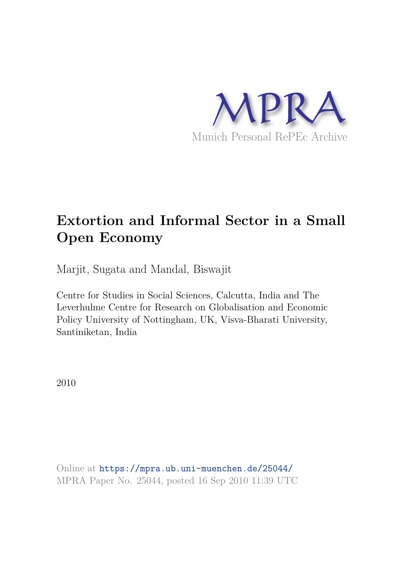

# **Extortion and Informal Sector in a Small Open Economy**

Marjit, Sugata and Mandal, Biswajit

Centre for Studies in Social Sciences, Calcutta, India and The Leverhulme Centre for Research on Globalisation and Economic Policy University of Nottingham, UK, Visva-Bharati University, Santiniketan, India

2010

Online at https://mpra.ub.uni-muenchen.de/25044/ MPRA Paper No. 25044, posted 16 Sep 2010 11:39 UTC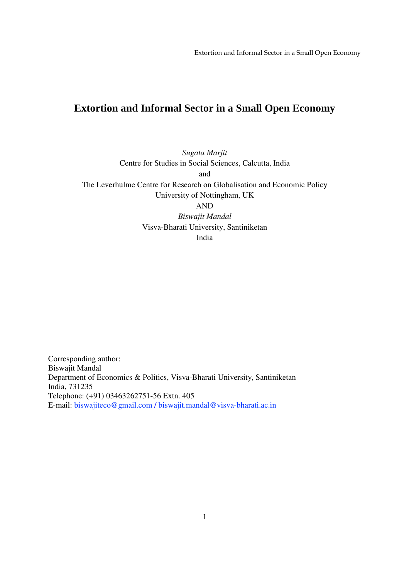# **Extortion and Informal Sector in a Small Open Economy**

*Sugata Marjit*  Centre for Studies in Social Sciences, Calcutta, India and The Leverhulme Centre for Research on Globalisation and Economic Policy University of Nottingham, UK AND *Biswajit Mandal*  Visva-Bharati University, Santiniketan India

Corresponding author: Biswajit Mandal Department of Economics & Politics, Visva-Bharati University, Santiniketan India, 731235 Telephone: (+91) 03463262751-56 Extn. 405 E-mail: biswajiteco@gmail.com / biswajit.mandal@visva-bharati.ac.in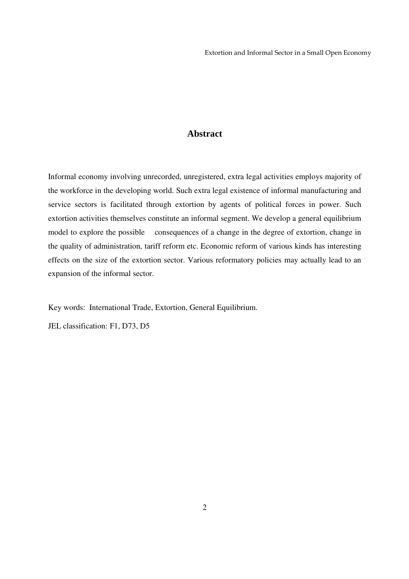# **Abstract**

Informal economy involving unrecorded, unregistered, extra legal activities employs majority of the workforce in the developing world. Such extra legal existence of informal manufacturing and service sectors is facilitated through extortion by agents of political forces in power. Such extortion activities themselves constitute an informal segment. We develop a general equilibrium model to explore the possible consequences of a change in the degree of extortion, change in the quality of administration, tariff reform etc. Economic reform of various kinds has interesting effects on the size of the extortion sector. Various reformatory policies may actually lead to an expansion of the informal sector.

Key words: International Trade, Extortion, General Equilibrium.

JEL classification: F1, D73, D5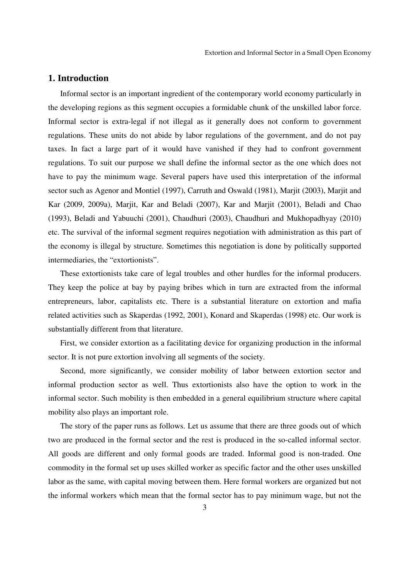### **1. Introduction**

Informal sector is an important ingredient of the contemporary world economy particularly in the developing regions as this segment occupies a formidable chunk of the unskilled labor force. Informal sector is extra-legal if not illegal as it generally does not conform to government regulations. These units do not abide by labor regulations of the government, and do not pay taxes. In fact a large part of it would have vanished if they had to confront government regulations. To suit our purpose we shall define the informal sector as the one which does not have to pay the minimum wage. Several papers have used this interpretation of the informal sector such as Agenor and Montiel (1997), Carruth and Oswald (1981), Marjit (2003), Marjit and Kar (2009, 2009a), Marjit, Kar and Beladi (2007), Kar and Marjit (2001), Beladi and Chao (1993), Beladi and Yabuuchi (2001), Chaudhuri (2003), Chaudhuri and Mukhopadhyay (2010) etc. The survival of the informal segment requires negotiation with administration as this part of the economy is illegal by structure. Sometimes this negotiation is done by politically supported intermediaries, the "extortionists".

These extortionists take care of legal troubles and other hurdles for the informal producers. They keep the police at bay by paying bribes which in turn are extracted from the informal entrepreneurs, labor, capitalists etc. There is a substantial literature on extortion and mafia related activities such as Skaperdas (1992, 2001), Konard and Skaperdas (1998) etc. Our work is substantially different from that literature.

First, we consider extortion as a facilitating device for organizing production in the informal sector. It is not pure extortion involving all segments of the society.

Second, more significantly, we consider mobility of labor between extortion sector and informal production sector as well. Thus extortionists also have the option to work in the informal sector. Such mobility is then embedded in a general equilibrium structure where capital mobility also plays an important role.

The story of the paper runs as follows. Let us assume that there are three goods out of which two are produced in the formal sector and the rest is produced in the so-called informal sector. All goods are different and only formal goods are traded. Informal good is non-traded. One commodity in the formal set up uses skilled worker as specific factor and the other uses unskilled labor as the same, with capital moving between them. Here formal workers are organized but not the informal workers which mean that the formal sector has to pay minimum wage, but not the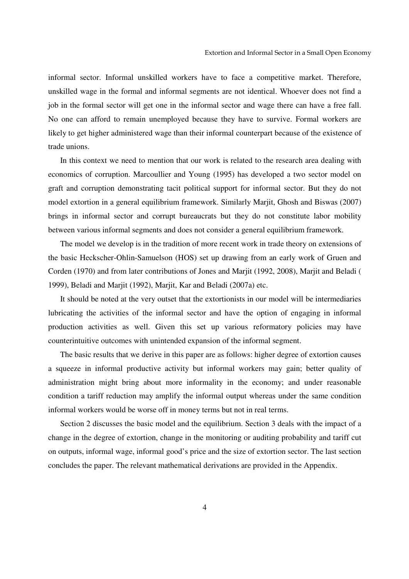informal sector. Informal unskilled workers have to face a competitive market. Therefore, unskilled wage in the formal and informal segments are not identical. Whoever does not find a job in the formal sector will get one in the informal sector and wage there can have a free fall. No one can afford to remain unemployed because they have to survive. Formal workers are likely to get higher administered wage than their informal counterpart because of the existence of trade unions.

In this context we need to mention that our work is related to the research area dealing with economics of corruption. Marcoullier and Young (1995) has developed a two sector model on graft and corruption demonstrating tacit political support for informal sector. But they do not model extortion in a general equilibrium framework. Similarly Marjit, Ghosh and Biswas (2007) brings in informal sector and corrupt bureaucrats but they do not constitute labor mobility between various informal segments and does not consider a general equilibrium framework.

The model we develop is in the tradition of more recent work in trade theory on extensions of the basic Heckscher-Ohlin-Samuelson (HOS) set up drawing from an early work of Gruen and Corden (1970) and from later contributions of Jones and Marjit (1992, 2008), Marjit and Beladi ( 1999), Beladi and Marjit (1992), Marjit, Kar and Beladi (2007a) etc.

It should be noted at the very outset that the extortionists in our model will be intermediaries lubricating the activities of the informal sector and have the option of engaging in informal production activities as well. Given this set up various reformatory policies may have counterintuitive outcomes with unintended expansion of the informal segment.

The basic results that we derive in this paper are as follows: higher degree of extortion causes a squeeze in informal productive activity but informal workers may gain; better quality of administration might bring about more informality in the economy; and under reasonable condition a tariff reduction may amplify the informal output whereas under the same condition informal workers would be worse off in money terms but not in real terms.

Section 2 discusses the basic model and the equilibrium. Section 3 deals with the impact of a change in the degree of extortion, change in the monitoring or auditing probability and tariff cut on outputs, informal wage, informal good's price and the size of extortion sector. The last section concludes the paper. The relevant mathematical derivations are provided in the Appendix.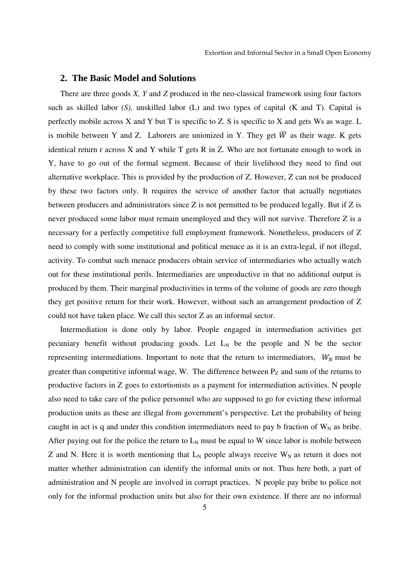#### **2. The Basic Model and Solutions**

There are three goods *X, Y* and *Z* produced in the neo-classical framework using four factors such as skilled labor *(S),* unskilled labor (L) and two types of capital (K and T). Capital is perfectly mobile across X and Y but T is specific to Z. S is specific to X and gets Ws as wage. L is mobile between Y and Z. Laborers are unionized in Y. They get  $\overline{W}$  as their wage. K gets identical return r across  $X$  and  $Y$  while  $T$  gets  $R$  in  $Z$ . Who are not fortunate enough to work in Y, have to go out of the formal segment. Because of their livelihood they need to find out alternative workplace. This is provided by the production of Z. However, Z can not be produced by these two factors only. It requires the service of another factor that actually negotiates between producers and administrators since Z is not permitted to be produced legally. But if Z is never produced some labor must remain unemployed and they will not survive. Therefore Z is a necessary for a perfectly competitive full employment framework. Nonetheless, producers of Z need to comply with some institutional and political menace as it is an extra-legal, if not illegal, activity. To combat such menace producers obtain service of intermediaries who actually watch out for these institutional perils. Intermediaries are unproductive in that no additional output is produced by them. Their marginal productivities in terms of the volume of goods are zero though they get positive return for their work. However, without such an arrangement production of Z could not have taken place. We call this sector Z as an informal sector.

Intermediation is done only by labor. People engaged in intermediation activities get pecuniary benefit without producing goods. Let  $L<sub>N</sub>$  be the people and N be the sector representing intermediations. Important to note that the return to intermediators,  $W_N$  must be greater than competitive informal wage, W. The difference between  $P_Z$  and sum of the returns to productive factors in Z goes to extortionists as a payment for intermediation activities. N people also need to take care of the police personnel who are supposed to go for evicting these informal production units as these are illegal from government's perspective. Let the probability of being caught in act is q and under this condition intermediators need to pay b fraction of  $W_N$  as bribe. After paying out for the police the return to  $L_N$  must be equal to W since labor is mobile between Z and N. Here it is worth mentioning that  $L_N$  people always receive  $W_N$  as return it does not matter whether administration can identify the informal units or not. Thus here both, a part of administration and N people are involved in corrupt practices. N people pay bribe to police not only for the informal production units but also for their own existence. If there are no informal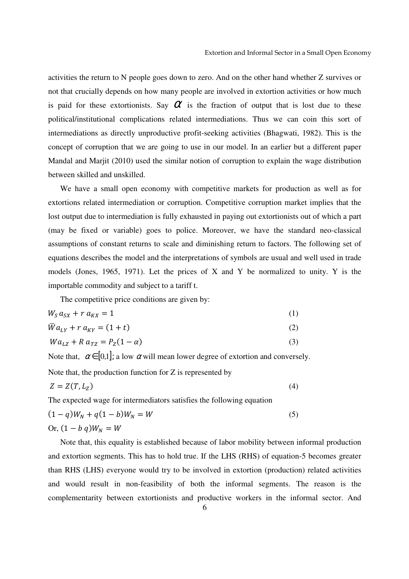activities the return to N people goes down to zero. And on the other hand whether Z survives or not that crucially depends on how many people are involved in extortion activities or how much is paid for these extortionists. Say  $\alpha$  is the fraction of output that is lost due to these political/institutional complications related intermediations. Thus we can coin this sort of intermediations as directly unproductive profit-seeking activities (Bhagwati, 1982). This is the concept of corruption that we are going to use in our model. In an earlier but a different paper Mandal and Marjit (2010) used the similar notion of corruption to explain the wage distribution between skilled and unskilled.

We have a small open economy with competitive markets for production as well as for extortions related intermediation or corruption. Competitive corruption market implies that the lost output due to intermediation is fully exhausted in paying out extortionists out of which a part (may be fixed or variable) goes to police. Moreover, we have the standard neo-classical assumptions of constant returns to scale and diminishing return to factors. The following set of equations describes the model and the interpretations of symbols are usual and well used in trade models (Jones, 1965, 1971). Let the prices of X and Y be normalized to unity. Y is the importable commodity and subject to a tariff t.

The competitive price conditions are given by:

$$
W_S a_{SX} + r a_{KX} = 1 \tag{1}
$$

$$
\overline{W}a_{LY} + r a_{KY} = (1+t) \tag{2}
$$

$$
Wa_{LZ} + R a_{TZ} = P_Z(1 - \alpha) \tag{3}
$$

Note that,  $\alpha \in [0,1]$ ; a low  $\alpha$  will mean lower degree of extortion and conversely.

Note that, the production function for Z is represented by

$$
Z = Z(T, L_Z) \tag{4}
$$

The expected wage for intermediators satisfies the following equation

$$
(1 - q)W_N + q(1 - b)W_N = W
$$
  
Or,  $(1 - b q)W_N = W$  (5)

Note that, this equality is established because of labor mobility between informal production and extortion segments. This has to hold true. If the LHS (RHS) of equation-5 becomes greater than RHS (LHS) everyone would try to be involved in extortion (production) related activities and would result in non-feasibility of both the informal segments. The reason is the complementarity between extortionists and productive workers in the informal sector. And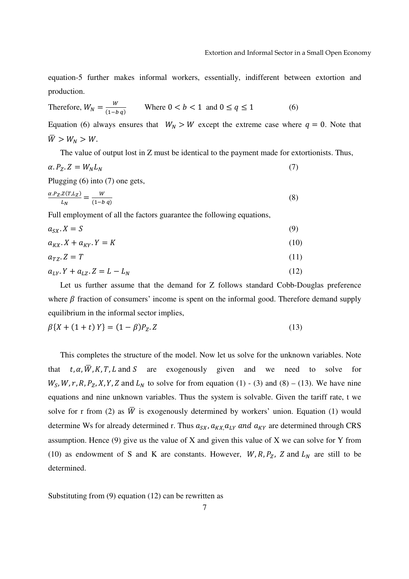equation-5 further makes informal workers, essentially, indifferent between extortion and production.

Therefore, 
$$
W_N = \frac{W}{(1-bq)}
$$
 Where  $0 < b < 1$  and  $0 \le q \le 1$  (6)

Equation (6) always ensures that  $W_N > W$  except the extreme case where  $q = 0$ . Note that  $\overline{W} > W_N > W.$ 

The value of output lost in Z must be identical to the payment made for extortionists. Thus,

$$
\alpha. P_Z. Z = W_N L_N \tag{7}
$$

Plugging (6) into (7) one gets,

$$
\frac{\alpha P_Z Z(T, L_Z)}{L_N} = \frac{W}{(1 - b q)}
$$
\n(8)

Full employment of all the factors guarantee the following equations,

$$
a_{SX}.X = S \tag{9}
$$

$$
a_{KX} \cdot X + a_{KY} \cdot Y = K \tag{10}
$$

$$
a_{TZ}.Z = T \tag{11}
$$

$$
a_{LY} \cdot Y + a_{LZ} \cdot Z = L - L_N \tag{12}
$$

Let us further assume that the demand for Z follows standard Cobb-Douglas preference where  $\beta$  fraction of consumers' income is spent on the informal good. Therefore demand supply equilibrium in the informal sector implies,

$$
\beta\{X + (1+t)Y\} = (1-\beta)P_Z.Z\tag{13}
$$

This completes the structure of the model. Now let us solve for the unknown variables. Note that  $t, \alpha, \overline{W}, K, T, L$  and S are exogenously given and we need to solve for  $W_S$ , W, r, R,  $P_Z$ , X, Y, Z and  $L_N$  to solve for from equation (1) - (3) and (8) – (13). We have nine equations and nine unknown variables. Thus the system is solvable. Given the tariff rate, t we solve for r from (2) as  $\overline{W}$  is exogenously determined by workers' union. Equation (1) would determine Ws for already determined r. Thus  $a_{SX}$ ,  $a_{KX}$ ,  $a_{LY}$  and  $a_{KY}$  are determined through CRS assumption. Hence (9) give us the value of X and given this value of X we can solve for Y from (10) as endowment of S and K are constants. However,  $W, R, P_z$ , Z and  $L<sub>N</sub>$  are still to be determined.

Substituting from (9) equation (12) can be rewritten as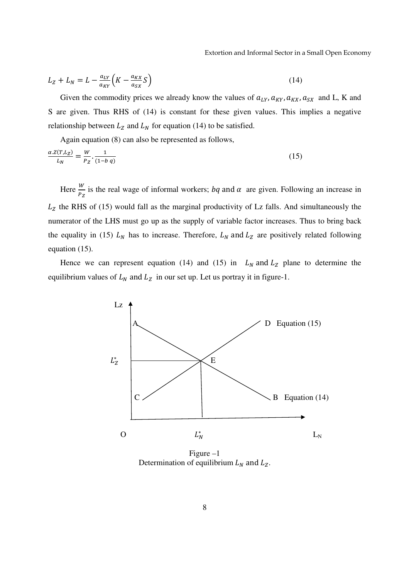Extortion and Informal Sector in a Small Open Economy

$$
L_Z + L_N = L - \frac{a_{LY}}{a_{KY}} \left( K - \frac{a_{KX}}{a_{SX}} S \right)
$$
 (14)

Given the commodity prices we already know the values of  $a_{LY}, a_{KY}, a_{KX}, a_{SX}$  and L, K and S are given. Thus RHS of (14) is constant for these given values. This implies a negative relationship between  $L_z$  and  $L_y$  for equation (14) to be satisfied.

Again equation (8) can also be represented as follows,

$$
\frac{\alpha \cdot Z(T, L_Z)}{L_N} = \frac{W}{P_Z} \cdot \frac{1}{(1 - b \, q)}\tag{15}
$$

Here  $\frac{W}{P_Z}$  is the real wage of informal workers; *bq* and  $\alpha$  are given. Following an increase in  $L<sub>z</sub>$  the RHS of (15) would fall as the marginal productivity of Lz falls. And simultaneously the numerator of the LHS must go up as the supply of variable factor increases. Thus to bring back the equality in (15)  $L<sub>N</sub>$  has to increase. Therefore,  $L<sub>N</sub>$  and  $L<sub>Z</sub>$  are positively related following equation (15).

Hence we can represent equation (14) and (15) in  $L_N$  and  $L_Z$  plane to determine the equilibrium values of  $L_N$  and  $L_Z$  in our set up. Let us portray it in figure-1.



Figure –1 Determination of equilibrium  $L_N$  and  $L_Z$ .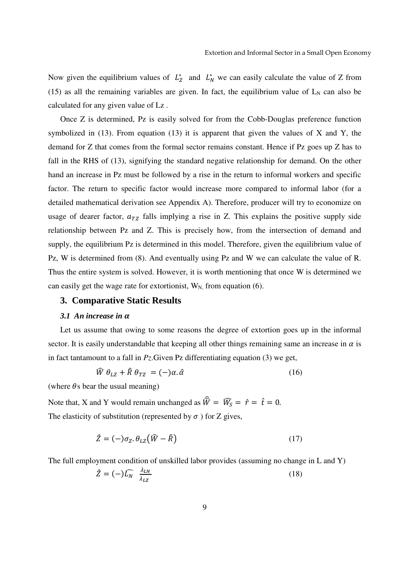Now given the equilibrium values of  $L_Z^*$  and  $L_N^*$  we can easily calculate the value of Z from (15) as all the remaining variables are given. In fact, the equilibrium value of  $L<sub>N</sub>$  can also be calculated for any given value of Lz .

Once Z is determined, Pz is easily solved for from the Cobb-Douglas preference function symbolized in  $(13)$ . From equation  $(13)$  it is apparent that given the values of X and Y, the demand for Z that comes from the formal sector remains constant. Hence if Pz goes up Z has to fall in the RHS of (13), signifying the standard negative relationship for demand. On the other hand an increase in Pz must be followed by a rise in the return to informal workers and specific factor. The return to specific factor would increase more compared to informal labor (for a detailed mathematical derivation see Appendix A). Therefore, producer will try to economize on usage of dearer factor,  $a_{TZ}$  falls implying a rise in Z. This explains the positive supply side relationship between Pz and Z. This is precisely how, from the intersection of demand and supply, the equilibrium Pz is determined in this model. Therefore, given the equilibrium value of Pz, W is determined from (8). And eventually using Pz and W we can calculate the value of R. Thus the entire system is solved. However, it is worth mentioning that once W is determined we can easily get the wage rate for extortionist,  $W_N$  from equation (6).

# **3. Comparative Static Results**

#### *3.1 An increase in* A

Let us assume that owing to some reasons the degree of extortion goes up in the informal sector. It is easily understandable that keeping all other things remaining same an increase in  $\alpha$  is in fact tantamount to a fall in  $P_z$ . Given Pz differentiating equation (3) we get,

$$
\widehat{W} \theta_{LZ} + \widehat{R} \theta_{TZ} = (-)\alpha. \widehat{\alpha} \tag{16}
$$

(where  $\theta$ s bear the usual meaning)

Note that, X and Y would remain unchanged as  $\hat{W} = \hat{W}_S = \hat{r} = \hat{t} = 0$ . The elasticity of substitution (represented by  $\sigma$ ) for Z gives,

$$
\hat{Z} = (-)\sigma_Z \theta_{LZ} (\hat{W} - \hat{R}) \tag{17}
$$

The full employment condition of unskilled labor provides (assuming no change in L and Y)

$$
\hat{Z} = (-)\widehat{L_N} \frac{\lambda_{LN}}{\lambda_{LZ}} \tag{18}
$$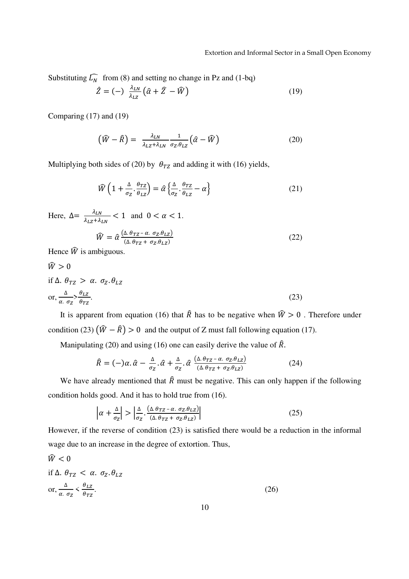Substituting  $\widehat{L_N}$  from (8) and setting no change in Pz and (1-bq)

$$
\hat{Z} = (-) \frac{\lambda_{LN}}{\lambda_{LZ}} (\hat{\alpha} + \hat{Z} - \hat{W})
$$
 (19)

Comparing (17) and (19)

$$
\left(\widehat{W} - \widehat{R}\right) = \frac{\lambda_{LN}}{\lambda_{LZ} + \lambda_{LN}} \frac{1}{\sigma_Z \theta_{LZ}} \left(\widehat{\alpha} - \widehat{W}\right)
$$
\n(20)

Multiplying both sides of (20) by  $\theta_{TZ}$  and adding it with (16) yields,

$$
\widehat{W}\left(1+\frac{\Delta}{\sigma_Z}\cdot\frac{\theta_{TZ}}{\theta_{LZ}}\right) = \widehat{\alpha}\left\{\frac{\Delta}{\sigma_Z}\cdot\frac{\theta_{TZ}}{\theta_{LZ}} - \alpha\right\} \tag{21}
$$

Here,  $\Delta = \frac{\lambda_{LN}}{\lambda_{LZ} + \lambda_{LN}} < 1$  and  $0 < \alpha < 1$ .

$$
\widehat{W} = \widehat{\alpha} \frac{(\Delta \theta_{TZ} - \alpha \sigma_z \theta_{LZ})}{(\Delta \theta_{TZ} + \sigma_z \theta_{LZ})}
$$
\n(22)

Hence  $\hat{W}$  is ambiguous.

$$
\hat{W} > 0
$$
  
if  $\Delta$ .  $\theta_{TZ} > \alpha$ .  $\sigma_Z$ .  $\theta_{LZ}$   
or,  $\frac{\Delta}{\alpha \cdot \sigma_Z} > \frac{\theta_{LZ}}{\theta_{TZ}}$ . (23)

It is apparent from equation (16) that  $\hat{R}$  has to be negative when  $\hat{W} > 0$ . Therefore under condition (23)  $(\widehat{W} - \widehat{R}) > 0$  and the output of Z must fall following equation (17).

Manipulating (20) and using (16) one can easily derive the value of  $\hat{R}$ .

$$
\hat{R} = (-\alpha \cdot \hat{\alpha} - \frac{\Delta}{\sigma_z} \cdot \hat{\alpha} + \frac{\Delta}{\sigma_z} \cdot \hat{\alpha} \frac{(\Delta \cdot \theta_{TZ} - \alpha \cdot \sigma_z \cdot \theta_{LZ})}{(\Delta \cdot \theta_{TZ} + \sigma_z \cdot \theta_{LZ})}
$$
(24)

We have already mentioned that  $\hat{R}$  must be negative. This can only happen if the following condition holds good. And it has to hold true from (16).

$$
\left| \alpha + \frac{\Delta}{\sigma_Z} \right| > \left| \frac{\Delta}{\sigma_Z} \cdot \frac{(\Delta \cdot \theta_{TZ} - \alpha \cdot \sigma_Z \cdot \theta_{LZ})}{(\Delta \cdot \theta_{TZ} + \sigma_Z \cdot \theta_{LZ})} \right| \tag{25}
$$

However, if the reverse of condition (23) is satisfied there would be a reduction in the informal wage due to an increase in the degree of extortion. Thus,

$$
\hat{W} < 0
$$
\nif  $\Delta$ .  $\theta_{TZ} < \alpha$ .  $\sigma_Z$ .  $\theta_{LZ}$ 

\nor,  $\frac{\Delta}{\alpha \cdot \sigma_Z} < \frac{\theta_{LZ}}{\theta_{TZ}}$ .

\n(26)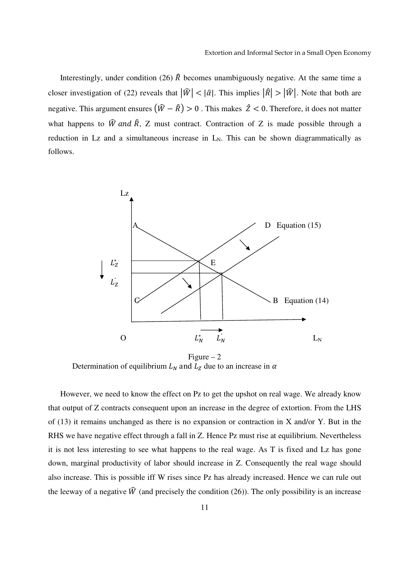Interestingly, under condition (26)  $\hat{R}$  becomes unambiguously negative. At the same time a closer investigation of (22) reveals that  $|\hat{W}| < |\hat{\alpha}|$ . This implies  $|\hat{R}| > |\hat{W}|$ . Note that both are negative. This argument ensures  $(\widehat{W} - \widehat{R}) > 0$ . This makes  $\widehat{Z} < 0$ . Therefore, it does not matter what happens to  $\hat{W}$  and  $\hat{R}$ , Z must contract. Contraction of Z is made possible through a reduction in Lz and a simultaneous increase in  $L_N$ . This can be shown diagrammatically as follows.



Figure  $-2$ Determination of equilibrium  $L<sub>N</sub>$  and  $L<sub>Z</sub>$  due to an increase in  $\alpha$ 

However, we need to know the effect on Pz to get the upshot on real wage. We already know that output of Z contracts consequent upon an increase in the degree of extortion. From the LHS of (13) it remains unchanged as there is no expansion or contraction in X and/or Y. But in the RHS we have negative effect through a fall in Z. Hence Pz must rise at equilibrium. Nevertheless it is not less interesting to see what happens to the real wage. As T is fixed and Lz has gone down, marginal productivity of labor should increase in Z. Consequently the real wage should also increase. This is possible iff W rises since Pz has already increased. Hence we can rule out the leeway of a negative  $\hat{W}$  (and precisely the condition (26)). The only possibility is an increase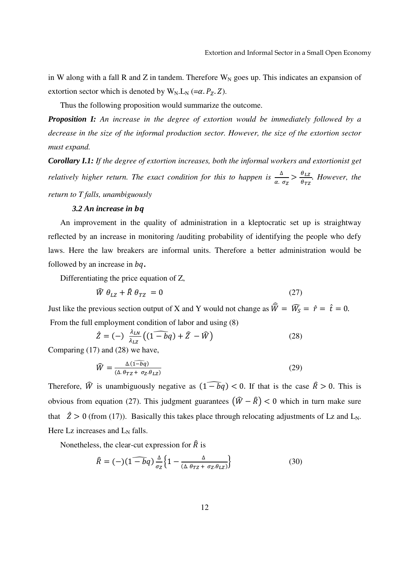in W along with a fall R and Z in tandem. Therefore  $W_N$  goes up. This indicates an expansion of extortion sector which is denoted by  $W_N.L_N (= \alpha.P_Z.Z)$ .

Thus the following proposition would summarize the outcome.

*Proposition I: An increase in the degree of extortion would be immediately followed by a decrease in the size of the informal production sector. However, the size of the extortion sector must expand.*

*Corollary I.1: If the degree of extortion increases, both the informal workers and extortionist get relatively higher return. The exact condition for this to happen is*  $\frac{\Delta}{\alpha \cdot \sigma_Z} > \frac{\theta_{LZ}}{\theta_{TZ}}$  $\frac{\partial LZ}{\partial TZ}$ . *However, the return to T falls, unambiguously* 

#### **3.2** An increase in bq

An improvement in the quality of administration in a kleptocratic set up is straightway reflected by an increase in monitoring /auditing probability of identifying the people who defy laws. Here the law breakers are informal units. Therefore a better administration would be followed by an increase in bq.

Differentiating the price equation of Z,

$$
\widehat{W} \theta_{LZ} + \widehat{R} \theta_{TZ} = 0 \tag{27}
$$

Just like the previous section output of X and Y would not change as  $\hat{W} = \hat{W}_S = \hat{r} = \hat{t} = 0$ . From the full employment condition of labor and using (8)

$$
\hat{Z} = (-) \frac{\lambda_{LN}}{\lambda_{LZ}} \left( \widehat{(1 - bq)} + \widehat{Z} - \widehat{W} \right) \tag{28}
$$

Comparing (17) and (28) we have,

$$
\widehat{W} = \frac{\Delta(\widehat{1 - bq})}{(\Delta.\theta_{TZ} + \sigma_Z.\theta_{LZ})}
$$
\n(29)

Therefore,  $\hat{W}$  is unambiguously negative as  $(1 - \hat{b}q) < 0$ . If that is the case  $\hat{R} > 0$ . This is obvious from equation (27). This judgment guarantees  $(\widehat{W} - \widehat{R}) < 0$  which in turn make sure that  $\hat{Z} > 0$  (from (17)). Basically this takes place through relocating adjustments of Lz and L<sub>N</sub>. Here Lz increases and  $L_N$  falls.

Nonetheless, the clear-cut expression for  $\hat{R}$  is

$$
\hat{R} = (-)(1 - \overline{b}q) \frac{\Delta}{\sigma_Z} \left\{ 1 - \frac{\Delta}{(\Delta \theta_{TZ} + \sigma_Z \theta_{LZ})} \right\} \tag{30}
$$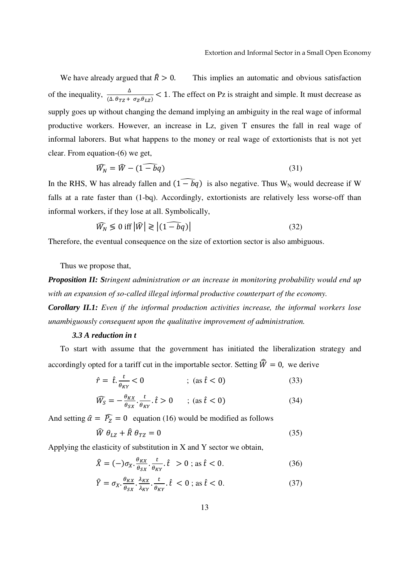We have already argued that  $\hat{R} > 0$ . This implies an automatic and obvious satisfaction of the inequality,  $\frac{\Delta}{(\Delta \theta_{TZ} + \sigma_Z \theta_{LZ})}$  < 1. The effect on Pz is straight and simple. It must decrease as supply goes up without changing the demand implying an ambiguity in the real wage of informal productive workers. However, an increase in Lz, given T ensures the fall in real wage of informal laborers. But what happens to the money or real wage of extortionists that is not yet clear. From equation-(6) we get,

$$
\widehat{W}_N = \widehat{W} - (1 - \widehat{b}q) \tag{31}
$$

In the RHS, W has already fallen and  $(1 - \overline{b}q)$  is also negative. Thus W<sub>N</sub> would decrease if W falls at a rate faster than (1-bq). Accordingly, extortionists are relatively less worse-off than informal workers, if they lose at all. Symbolically,

$$
\widehat{W_N} \leq 0 \text{ iff } |\widehat{W}| \geqslant |(1 - \widehat{bq})| \tag{32}
$$

Therefore, the eventual consequence on the size of extortion sector is also ambiguous.

Thus we propose that,

*Proposition II: Stringent administration or an increase in monitoring probability would end up with an expansion of so-called illegal informal productive counterpart of the economy. Corollary II.1: Even if the informal production activities increase, the informal workers lose unambiguously consequent upon the qualitative improvement of administration.* 

#### *3.3 A reduction in t*

To start with assume that the government has initiated the liberalization strategy and accordingly opted for a tariff cut in the importable sector. Setting  $\widehat{W} = 0$ , we derive

$$
\hat{r} = \hat{t} \cdot \frac{t}{\theta_{KY}} < 0 \qquad ; \text{ (as } \hat{t} < 0) \tag{33}
$$

$$
\widehat{W}_{S} = -\frac{\theta_{KX}}{\theta_{SX}} \cdot \frac{t}{\theta_{KY}} \cdot \hat{t} > 0 \qquad ; \text{ (as } \hat{t} < 0)
$$
\n(34)

And setting  $\hat{\alpha} = \hat{P}_{Z} = 0$  equation (16) would be modified as follows

$$
\hat{W} \theta_{LZ} + \hat{R} \theta_{TZ} = 0 \tag{35}
$$

Applying the elasticity of substitution in X and Y sector we obtain,

$$
\hat{X} = (-)\sigma_X \cdot \frac{\theta_{KX}}{\theta_{SX}} \cdot \frac{t}{\theta_{KY}} \cdot \hat{t} > 0 \; ; \; \text{as} \; \hat{t} < 0. \tag{36}
$$

$$
\hat{Y} = \sigma_X \cdot \frac{\theta_{KX}}{\theta_{SX}} \cdot \frac{\lambda_{KX}}{\lambda_{KY}} \cdot \frac{t}{\theta_{KY}} \cdot \hat{t} < 0 \text{ ; as } \hat{t} < 0. \tag{37}
$$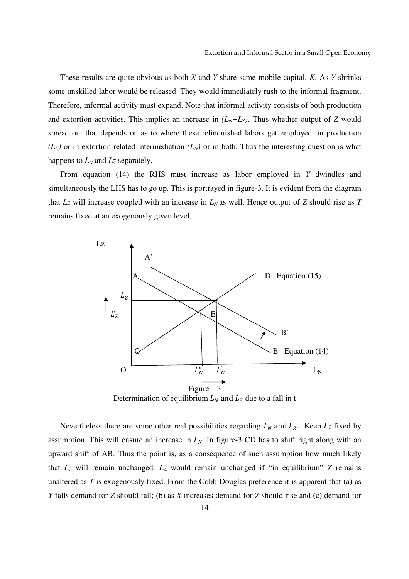These results are quite obvious as both *X* and *Y* share same mobile capital, *K*. As *Y* shrinks some unskilled labor would be released. They would immediately rush to the informal fragment. Therefore, informal activity must expand. Note that informal activity consists of both production and extortion activities. This implies an increase in  $(L_N + L_Z)$ . Thus whether output of *Z* would spread out that depends on as to where these relinquished labors get employed: in production  $(Lz)$  or in extortion related intermediation  $(L<sub>N</sub>)$  or in both. Thus the interesting question is what happens to *LN* and *Lz* separately.

From equation (14) the RHS must increase as labor employed in *Y* dwindles and simultaneously the LHS has to go up. This is portrayed in figure-3. It is evident from the diagram that  $Lz$  will increase coupled with an increase in  $L<sub>N</sub>$  as well. Hence output of  $Z$  should rise as  $T$ remains fixed at an exogenously given level.



Determination of equilibrium  $L<sub>N</sub>$  and  $L<sub>Z</sub>$  due to a fall in t

Nevertheless there are some other real possibilities regarding  $L<sub>N</sub>$  and  $L<sub>Z</sub>$ . Keep  $L<sub>Z</sub>$  fixed by assumption. This will ensure an increase in *LN*. In figure-3 CD has to shift right along with an upward shift of AB. Thus the point is, as a consequence of such assumption how much likely that *Lz* will remain unchanged. *Lz* would remain unchanged if "in equilibrium" *Z* remains unaltered as *T* is exogenously fixed. From the Cobb-Douglas preference it is apparent that (a) as *Y* falls demand for *Z* should fall; (b) as *X* increases demand for *Z* should rise and (c) demand for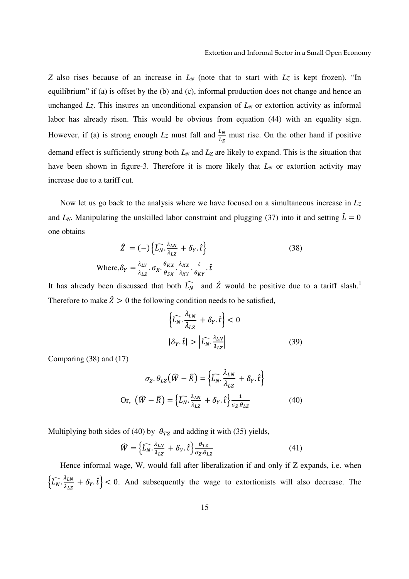*Z* also rises because of an increase in *LN* (note that to start with *Lz* is kept frozen). "In equilibrium" if (a) is offset by the (b) and (c), informal production does not change and hence an unchanged *Lz*. This insures an unconditional expansion of *LN* or extortion activity as informal labor has already risen. This would be obvious from equation (44) with an equality sign. However, if (a) is strong enough  $L_z$  must fall and  $\frac{L_N}{L_z}$  must rise. On the other hand if positive demand effect is sufficiently strong both *LN* and *LZ* are likely to expand. This is the situation that have been shown in figure-3. Therefore it is more likely that  $L_N$  or extortion activity may increase due to a tariff cut.

Now let us go back to the analysis where we have focused on a simultaneous increase in *Lz*  and  $L_N$ . Manipulating the unskilled labor constraint and plugging (37) into it and setting  $\hat{L} = 0$ one obtains

$$
\hat{Z} = (-)\left\{\widehat{L_N} \cdot \frac{\lambda_{LN}}{\lambda_{LZ}} + \delta_Y \cdot \hat{t}\right\}
$$
\n
$$
\text{Where, } \delta_Y = \frac{\lambda_{LY}}{\lambda_{LZ}} \cdot \sigma_X \cdot \frac{\theta_{KX}}{\theta_{SX}} \cdot \frac{\lambda_{KX}}{\lambda_{KY}} \cdot \frac{t}{\theta_{KY}} \cdot \hat{t}
$$
\n
$$
(38)
$$

It has already been discussed that both  $\widehat{L_N}$  and  $\widehat{Z}$  would be positive due to a tariff slash.<sup>1</sup> Therefore to make  $\hat{Z} > 0$  the following condition needs to be satisfied,

$$
\left\{\widehat{L_N} \cdot \frac{\lambda_{LN}}{\lambda_{LZ}} + \delta_Y \cdot \hat{t}\right\} < 0
$$

$$
|\delta_Y \cdot \hat{t}| > \left|\widehat{L_N} \cdot \frac{\lambda_{LN}}{\lambda_{LZ}}\right|
$$
(39)

Comparing (38) and (17)

$$
\sigma_Z. \theta_{LZ} (\hat{W} - \hat{R}) = \left\{ \widehat{L_N}. \frac{\lambda_{LN}}{\lambda_{LZ}} + \delta_Y. \hat{t} \right\}
$$
  
Or,  $(\hat{W} - \hat{R}) = \left\{ \widehat{L_N}. \frac{\lambda_{LN}}{\lambda_{LZ}} + \delta_Y. \hat{t} \right\} \frac{1}{\sigma_Z. \theta_{LZ}}$  (40)

Multiplying both sides of (40) by  $\theta_{TZ}$  and adding it with (35) yields,

$$
\widehat{W} = \left\{ \widehat{L_N} \cdot \frac{\lambda_{LN}}{\lambda_{LZ}} + \delta_Y \cdot \widehat{t} \right\} \frac{\theta_{TZ}}{\sigma_Z \cdot \theta_{LZ}} \tag{41}
$$

Hence informal wage, W, would fall after liberalization if and only if Z expands, i.e. when  $\left\{\widehat{L_N} \cdot \frac{\lambda_{LN}}{\lambda_{LZ}}\right\}$  $\left\{\frac{\lambda_{LN}}{\lambda_{LZ}} + \delta_Y \cdot \hat{t} \right\}$  < 0. And subsequently the wage to extortionists will also decrease. The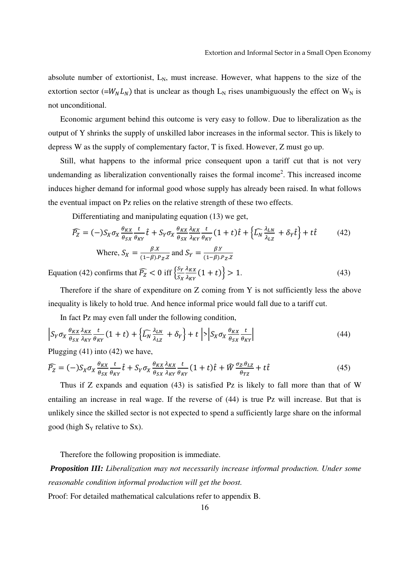absolute number of extortionist,  $L_N$ , must increase. However, what happens to the size of the extortion sector (= $W_N L_N$ ) that is unclear as though L<sub>N</sub> rises unambiguously the effect on W<sub>N</sub> is not unconditional.

Economic argument behind this outcome is very easy to follow. Due to liberalization as the output of Y shrinks the supply of unskilled labor increases in the informal sector. This is likely to depress W as the supply of complementary factor, T is fixed. However, Z must go up.

Still, what happens to the informal price consequent upon a tariff cut that is not very undemanding as liberalization conventionally raises the formal income<sup>2</sup>. This increased income induces higher demand for informal good whose supply has already been raised. In what follows the eventual impact on Pz relies on the relative strength of these two effects.

Differentiating and manipulating equation (13) we get,

$$
\widehat{P_Z} = (-)S_X \sigma_X \frac{\theta_{KX}}{\theta_{SX}} \frac{t}{\theta_{KY}} \hat{t} + S_Y \sigma_X \frac{\theta_{KX}}{\theta_{SX}} \frac{\lambda_{KX}}{\lambda_{KY}} \frac{t}{\theta_{KY}} (1+t) \hat{t} + \left\{ \widehat{L_N} \frac{\lambda_{LN}}{\lambda_{LZ}} + \delta_Y \hat{t} \right\} + t \hat{t}
$$
(42)  
Where,  $S_X = \frac{\beta X}{(1-\beta).P_Z Z}$  and  $S_Y = \frac{\beta Y}{(1-\beta).P_Z Z}$ 

Equation (42) confirms that  $\widehat{P_Z} < 0$  iff  $\left\{ \frac{S_Y}{S_Y} \right\}$  $S_X$  $\lambda_{KX}$  $\frac{\lambda_{KX}}{\lambda_{KY}}(1+t) > 1.$  (43)

Therefore if the share of expenditure on Z coming from Y is not sufficiently less the above inequality is likely to hold true. And hence informal price would fall due to a tariff cut.

In fact Pz may even fall under the following condition,

$$
\left| S_Y \sigma_X \frac{\theta_{KX}}{\theta_{SX}} \frac{\lambda_{KX}}{\lambda_{KY}} \frac{t}{\theta_{KY}} (1+t) + \left\{ \widehat{L_N} \frac{\lambda_{LN}}{\lambda_{LZ}} + \delta_Y \right\} + t \right| > \left| S_X \sigma_X \frac{\theta_{KX}}{\theta_{SX}} \frac{t}{\theta_{KY}} \right| \tag{44}
$$

Plugging (41) into (42) we have,

$$
\widehat{P_Z} = (-)S_X \sigma_X \frac{\theta_{KX}}{\theta_{SX}} \frac{t}{\theta_{KY}} \hat{t} + S_Y \sigma_X \frac{\theta_{KX}}{\theta_{SX}} \frac{\lambda_{KX}}{\lambda_{KY}} \frac{t}{\theta_{KY}} (1+t) \hat{t} + \widehat{W} \frac{\sigma_Z \theta_{LZ}}{\theta_{TZ}} + t \hat{t}
$$
(45)

Thus if Z expands and equation (43) is satisfied Pz is likely to fall more than that of W entailing an increase in real wage. If the reverse of (44) is true Pz will increase. But that is unlikely since the skilled sector is not expected to spend a sufficiently large share on the informal good (high  $S_Y$  relative to  $S_X$ ).

Therefore the following proposition is immediate.

*Proposition III: Liberalization may not necessarily increase informal production. Under some reasonable condition informal production will get the boost.* 

Proof: For detailed mathematical calculations refer to appendix B.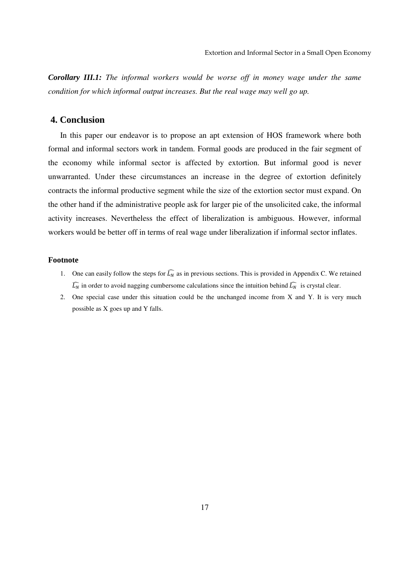*Corollary III.1: The informal workers would be worse off in money wage under the same condition for which informal output increases. But the real wage may well go up.* 

## **4. Conclusion**

In this paper our endeavor is to propose an apt extension of HOS framework where both formal and informal sectors work in tandem. Formal goods are produced in the fair segment of the economy while informal sector is affected by extortion. But informal good is never unwarranted. Under these circumstances an increase in the degree of extortion definitely contracts the informal productive segment while the size of the extortion sector must expand. On the other hand if the administrative people ask for larger pie of the unsolicited cake, the informal activity increases. Nevertheless the effect of liberalization is ambiguous. However, informal workers would be better off in terms of real wage under liberalization if informal sector inflates.

#### **Footnote**

- 1. One can easily follow the steps for  $\widehat{L_N}$  as in previous sections. This is provided in Appendix C. We retained  $\widehat{L_N}$  in order to avoid nagging cumbersome calculations since the intuition behind  $\widehat{L_N}$  is crystal clear.
- 2. One special case under this situation could be the unchanged income from X and Y. It is very much possible as X goes up and Y falls.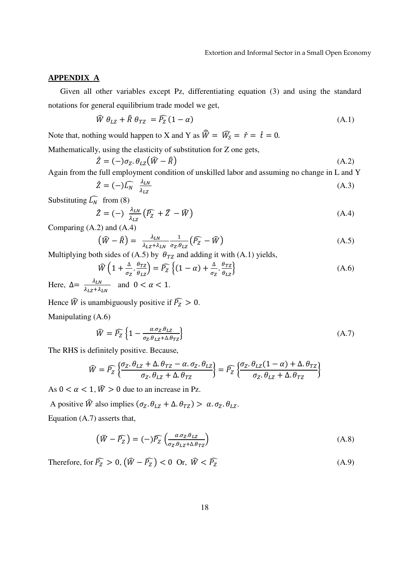#### **APPENDIX A**

Given all other variables except Pz, differentiating equation (3) and using the standard notations for general equilibrium trade model we get,

$$
\widehat{W} \theta_{LZ} + \widehat{R} \theta_{TZ} = \widehat{P_Z} (1 - \alpha) \tag{A.1}
$$

Note that, nothing would happen to X and Y as  $\hat{W} = \hat{W}_S = \hat{r} = \hat{t} = 0$ .

Mathematically, using the elasticity of substitution for Z one gets,

$$
\hat{Z} = (-)\sigma_Z \theta_{LZ} (\hat{W} - \hat{R})
$$
\n(A.2)

Again from the full employment condition of unskilled labor and assuming no change in L and Y

$$
\hat{Z} = (-)\widehat{L_N} \frac{\lambda_{LN}}{\lambda_{LZ}} \tag{A.3}
$$

Substituting  $\widehat{L_N}$  from (8)

$$
\hat{Z} = (-) \frac{\lambda_{LN}}{\lambda_{LZ}} (\widehat{P_Z} + \widehat{Z} - \widehat{W})
$$
 (A.4)

Comparing (A.2) and (A.4)

$$
\left(\widehat{W} - \widehat{R}\right) = \frac{\lambda_{LN}}{\lambda_{LZ} + \lambda_{LN}} \frac{1}{\sigma_Z \theta_{LZ}} \left(\widehat{P_Z} - \widehat{W}\right) \tag{A.5}
$$

Multiplying both sides of (A.5) by  $\theta_{TZ}$  and adding it with (A.1) yields,

$$
\widehat{W}\left(1+\frac{\Delta}{\sigma_Z}\cdot\frac{\theta_{TZ}}{\theta_{LZ}}\right) = \widehat{P_Z}\left\{(1-\alpha)+\frac{\Delta}{\sigma_Z}\cdot\frac{\theta_{TZ}}{\theta_{LZ}}\right\}
$$
\n(A.6)

Here,  $\Delta = \frac{\lambda_{LN}}{\lambda_{LZ} + \lambda_{LN}}$  and  $0 < \alpha < 1$ .

Hence  $\widehat{W}$  is unambiguously positive if  $\widehat{P_Z} > 0$ .

Manipulating (A.6)

$$
\widehat{W} = \widehat{P_Z} \left\{ 1 - \frac{\alpha \cdot \sigma_Z \cdot \theta_{LZ}}{\sigma_Z \cdot \theta_{LZ} + \Delta \cdot \theta_{TZ}} \right\}
$$
\n(A.7)

The RHS is definitely positive. Because,

$$
\widehat{W} = \widehat{P_Z} \left\{ \frac{\sigma_Z \cdot \theta_{LZ} + \Delta \cdot \theta_{TZ} - \alpha \cdot \sigma_Z \cdot \theta_{LZ}}{\sigma_Z \cdot \theta_{LZ} + \Delta \cdot \theta_{TZ}} \right\} = \widehat{P_Z} \left\{ \frac{\sigma_Z \cdot \theta_{LZ} (1 - \alpha) + \Delta \cdot \theta_{TZ}}{\sigma_Z \cdot \theta_{LZ} + \Delta \cdot \theta_{TZ}} \right\}
$$

As  $0 < \alpha < 1$ ,  $\hat{W} > 0$  due to an increase in Pz.

A positive  $\hat{W}$  also implies  $(\sigma_Z, \theta_{LZ} + \Delta, \theta_{TZ}) > \alpha \cdot \sigma_Z \cdot \theta_{LZ}$ . Equation (A.7) asserts that,

$$
\left(\widehat{W} - \widehat{P_Z}\right) = (-)\widehat{P_Z}\left(\frac{\alpha \sigma_Z \theta_{LZ}}{\sigma_Z \theta_{LZ} + \Delta \theta_{TZ}}\right) \tag{A.8}
$$

Therefore, for  $\widehat{P_Z} > 0$ ,  $(\widehat{W} - \widehat{P_Z}) < 0$  Or,  $\widehat{W} < \widehat{P_Z}$  (A.9)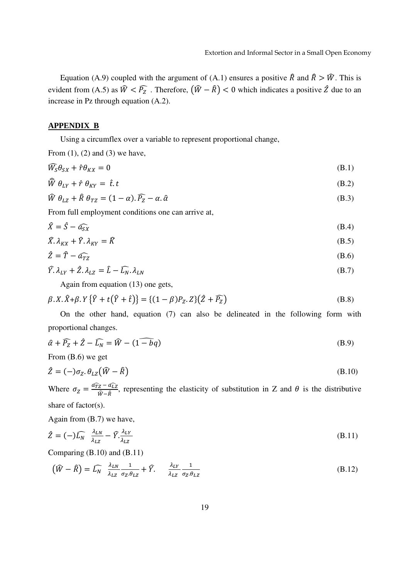Equation (A.9) coupled with the argument of (A.1) ensures a positive  $\hat{R}$  and  $\hat{R} > \hat{W}$ . This is evident from (A.5) as  $\hat{W} < \widehat{P}_Z$ . Therefore,  $(\hat{W} - \hat{R}) < 0$  which indicates a positive  $\hat{Z}$  due to an increase in Pz through equation (A.2).

#### **APPENDIX B**

Using a circumflex over a variable to represent proportional change,

From  $(1)$ ,  $(2)$  and  $(3)$  we have,

$$
\widehat{W}_{S}\theta_{SX} + \hat{r}\theta_{KX} = 0 \tag{B.1}
$$

$$
\widehat{W} \theta_{LY} + \hat{r} \theta_{KY} = \hat{t} \cdot t \tag{B.2}
$$

$$
\widehat{W} \theta_{LZ} + \widehat{R} \theta_{TZ} = (1 - \alpha) \cdot \widehat{P_Z} - \alpha \cdot \widehat{\alpha}
$$
\n(B.3)

From full employment conditions one can arrive at,

$$
\hat{X} = \hat{S} - \widehat{a_{SX}} \tag{B.4}
$$

$$
\widehat{X}.\lambda_{KX} + \widehat{Y}.\lambda_{KY} = \widehat{K}
$$
\n(B.5)

$$
\hat{Z} = \hat{T} - \hat{a_{TZ}} \tag{B.6}
$$

$$
\widehat{Y}.\lambda_{LY} + \widehat{Z}.\lambda_{LZ} = \widehat{L} - \widehat{L_N}.\lambda_{LN}
$$
\n(B.7)

Again from equation (13) one gets,

$$
\beta. X.\hat{X} + \beta. Y \{\hat{Y} + t(\hat{Y} + \hat{t})\} = \{(1 - \beta)P_Z. Z\}(\hat{Z} + \hat{P_Z})
$$
\n(B.8)

On the other hand, equation (7) can also be delineated in the following form with proportional changes.

$$
\hat{\alpha} + \widehat{P_Z} + \hat{Z} - \widehat{L_N} = \widehat{W} - (1 - \widehat{bq})
$$
\n(B.9)

From (B.6) we get

$$
\hat{Z} = (-)\sigma_Z \cdot \theta_{LZ}(\hat{W} - \hat{R})
$$
 (B.10)

Where  $\sigma_Z = \frac{\widehat{a_{TZ}} - \widehat{a_{LZ}}}{\widehat{W} - \widehat{R}}$  $\frac{Z - u_{LZ}}{\hat{W} - \hat{R}}$ , representing the elasticity of substitution in Z and  $\theta$  is the distributive share of factor(s).

Again from (B.7) we have,

$$
\hat{Z} = (-)\widehat{L_N} \frac{\lambda_{LN}}{\lambda_{LZ}} - \widehat{Y} \cdot \frac{\lambda_{LY}}{\lambda_{LZ}}
$$
(B.11)

Comparing (B.10) and (B.11)

$$
\left(\widehat{W} - \widehat{R}\right) = \widehat{L_N} \quad \frac{\lambda_{LN}}{\lambda_{LZ}} \frac{1}{\sigma_Z \theta_{LZ}} + \widehat{Y}. \qquad \frac{\lambda_{LY}}{\lambda_{LZ}} \frac{1}{\sigma_Z \theta_{LZ}} \tag{B.12}
$$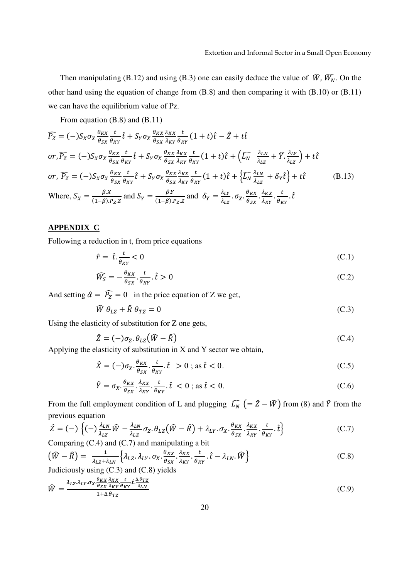Then manipulating (B.12) and using (B.3) one can easily deduce the value of  $\hat{W}$ ,  $\hat{W}$ , On the other hand using the equation of change from (B.8) and then comparing it with (B.10) or (B.11) we can have the equilibrium value of Pz.

From equation (B.8) and (B.11)

$$
\widehat{P_Z} = (-)S_X \sigma_X \frac{\theta_{KX}}{\theta_{SX}} \frac{t}{\theta_{KY}} \hat{t} + S_Y \sigma_X \frac{\theta_{KX}}{\theta_{SX}} \frac{\lambda_{KY}}{\lambda_{KY}} \frac{t}{\theta_{KY}} (1+t) \hat{t} - \hat{Z} + t \hat{t}
$$
\nor,  $\widehat{P_Z} = (-)S_X \sigma_X \frac{\theta_{KX}}{\theta_{SX}} \frac{t}{\theta_{KY}} \hat{t} + S_Y \sigma_X \frac{\theta_{KX}}{\theta_{SX}} \frac{\lambda_{RX}}{\lambda_{KY}} \frac{t}{\theta_{KY}} (1+t) \hat{t} + (\widehat{L_N} \frac{\lambda_{LN}}{\lambda_{LZ}} + \widehat{Y} \cdot \frac{\lambda_{LY}}{\lambda_{LZ}}) + t \hat{t}$ \nor,  $\widehat{P_Z} = (-)S_X \sigma_X \frac{\theta_{KX}}{\theta_{SX}} \frac{t}{\theta_{KY}} \hat{t} + S_Y \sigma_X \frac{\theta_{KX}}{\theta_{SX}} \frac{\lambda_{RX}}{\lambda_{KY}} \frac{t}{\theta_{KY}} (1+t) \hat{t} + \{\widehat{L_N} \frac{\lambda_{LN}}{\lambda_{LZ}} + \delta_Y \hat{t}\} + t \hat{t}$ \n(B.13)\nWhere,  $S_X = \frac{\beta_{X}}{(1-\beta)P_{Z}Z}$  and  $S_Y = \frac{\beta_{Y}}{(1-\beta)P_{Z}Z}$  and  $\delta_Y = \frac{\lambda_{LY}}{\lambda_{LZ}} \cdot \sigma_X \cdot \frac{\theta_{KX}}{\theta_{SX}} \cdot \frac{\lambda_{KX}}{\lambda_{KY}} \cdot \frac{t}{\theta_{KY}} \cdot \hat{t}$ 

#### **APPENDIX C**

Following a reduction in t, from price equations

$$
\hat{r} = \hat{t} \cdot \frac{t}{\theta_{KY}} < 0 \tag{C.1}
$$

$$
\widehat{W}_{S} = -\frac{\theta_{KX}}{\theta_{SX}} \cdot \frac{t}{\theta_{KY}} \cdot \hat{t} > 0
$$
\n(C.2)

And setting  $\hat{\alpha} = \hat{P}_z = 0$  in the price equation of Z we get,

$$
\widehat{W} \theta_{LZ} + \widehat{R} \theta_{TZ} = 0 \tag{C.3}
$$

Using the elasticity of substitution for Z one gets,

$$
\hat{Z} = (-)\sigma_Z \cdot \theta_{LZ} (\hat{W} - \hat{R})
$$
\n(C.4)

Applying the elasticity of substitution in  $X$  and  $Y$  sector we obtain,

$$
\hat{X} = (-)\sigma_X \cdot \frac{\theta_{KX}}{\theta_{SX}} \cdot \frac{t}{\theta_{KY}} \cdot \hat{t} > 0 \text{ ; as } \hat{t} < 0. \tag{C.5}
$$

$$
\hat{Y} = \sigma_X \cdot \frac{\theta_{KX}}{\theta_{SX}} \cdot \frac{\lambda_{KX}}{\lambda_{KY}} \cdot \hat{t} < 0 \text{ ; as } \hat{t} < 0. \tag{C.6}
$$

From the full employment condition of L and plugging  $\widehat{L_N}$   $(=\hat{Z} - \widehat{W})$  from (8) and  $\widehat{Y}$  from the previous equation

$$
\hat{Z} = (-) \left\{ (-) \frac{\lambda_{LN}}{\lambda_{LZ}} \hat{W} - \frac{\lambda_{LN}}{\lambda_{LZ}} \sigma_Z \cdot \theta_{LZ} (\hat{W} - \hat{R}) + \lambda_{LY} \cdot \sigma_X \cdot \frac{\theta_{KX}}{\theta_{SX}} \cdot \frac{\lambda_{KX}}{\lambda_{KY}} \cdot \frac{t}{\theta_{KY}} \cdot \hat{t} \right\}
$$
(C.7)

Comparing  $(C.4)$  and  $(C.7)$  and manipulating a bit

$$
\left(\widehat{W} - \widehat{R}\right) = \frac{1}{\lambda_{LZ} + \lambda_{LN}} \left\{ \lambda_{LZ}, \lambda_{LY}, \sigma_X, \frac{\theta_{KX}}{\theta_{SX}}, \frac{\lambda_{KX}}{\lambda_{KY}}, \frac{t}{\theta_{KY}}, \widehat{t} - \lambda_{LN}, \widehat{W} \right\}
$$
\n(C.8)

Judiciously using (C.3) and (C.8) yields

$$
\widehat{W} = \frac{\lambda_{LZ} \lambda_{LY} \sigma_X \frac{\theta_{KX}}{\theta_{SX}} \frac{\lambda_{KX}}{\lambda_{KY}} \frac{t}{\theta_{KY}} \cdot \frac{\Delta \theta_{TZ}}{\lambda_{LN}}}{1 + \Delta \theta_{TZ}}
$$
(C.9)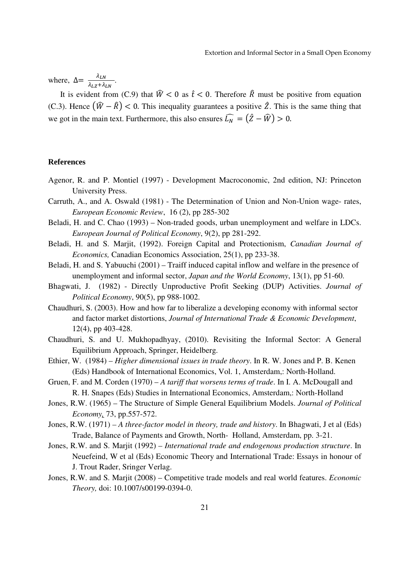where,  $\Delta = \frac{\lambda_{LN}}{\lambda_{LZ} + \lambda_{LN}}$ .

It is evident from (C.9) that  $\hat{W} < 0$  as  $\hat{t} < 0$ . Therefore  $\hat{R}$  must be positive from equation (C.3). Hence  $(\widehat{W} - \widehat{R}) < 0$ . This inequality guarantees a positive  $\widehat{Z}$ . This is the same thing that we got in the main text. Furthermore, this also ensures  $\widehat{L_N} = (\widehat{Z} - \widehat{W}) > 0$ .

#### **References**

- Agenor, R. and P. Montiel (1997) Development Macroconomic, 2nd edition, NJ: Princeton University Press.
- Carruth, A., and A. Oswald (1981) The Determination of Union and Non-Union wage- rates, *European Economic Review*, 16 (2), pp 285-302
- Beladi, H. and C. Chao (1993) Non-traded goods, urban unemployment and welfare in LDCs. *European Journal of Political Economy*, 9(2), pp 281-292.
- Beladi, H. and S. Marjit, (1992). Foreign Capital and Protectionism, *Canadian Journal of Economics,* Canadian Economics Association, 25(1), pp 233-38.
- Beladi, H. and S. Yabuuchi (2001) Traiff induced capital inflow and welfare in the presence of unemployment and informal sector, *Japan and the World Economy*, 13(1), pp 51-60.
- Bhagwati, J. (1982) Directly Unproductive Profit Seeking (DUP) Activities. *Journal of Political Economy*, 90(5), pp 988-1002.
- Chaudhuri, S. (2003). How and how far to liberalize a developing economy with informal sector and factor market distortions, *Journal of International Trade & Economic Development*, 12(4), pp 403-428.
- Chaudhuri, S. and U. Mukhopadhyay, (2010). Revisiting the Informal Sector: A General Equilibrium Approach, Springer, Heidelberg.
- Ethier, W. (1984) *Higher dimensional issues in trade theory*. In R. W. Jones and P. B. Kenen (Eds) Handbook of International Economics, Vol. 1, Amsterdam,: North-Holland.
- Gruen, F. and M. Corden (1970) *A tariff that worsens terms of trade*. In I. A. McDougall and R. H. Snapes (Eds) Studies in International Economics, Amsterdam,: North-Holland
- Jones, R.W. (1965) The Structure of Simple General Equilibrium Models. *Journal of Political Economy,* 73, pp.557-572.
- Jones, R.W. (1971)  *A three-factor model in theory, trade and history*. In Bhagwati, J et al (Eds) Trade, Balance of Payments and Growth, North- Holland, Amsterdam, pp. 3-21.
- Jones, R.W. and S. Marjit (1992) *International trade and endogenous production structure*. In Neuefeind, W et al (Eds) Economic Theory and International Trade: Essays in honour of J. Trout Rader, Sringer Verlag.
- Jones, R.W. and S. Marjit (2008) Competitive trade models and real world features. *Economic Theory,* doi: 10.1007/s00199-0394-0.